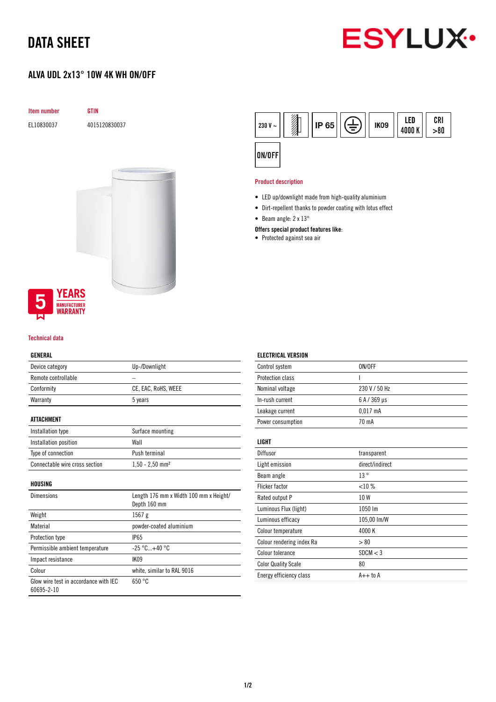## DATA SHEET



### ALVA UDL 2x13° 10W 4K WH ON/OFF



### **YEARS MANUFACTURER** WARRANTY

#### Technical data

#### GENERAL

| Device category                                     | Up-/Downlight                                          |
|-----------------------------------------------------|--------------------------------------------------------|
| Remote controllable                                 |                                                        |
| Conformity                                          | CE, EAC, RoHS, WEEE                                    |
| Warranty                                            | 5 years                                                |
|                                                     |                                                        |
| <b>ATTACHMENT</b>                                   |                                                        |
| Installation type                                   | Surface mounting                                       |
| Installation position                               | Wall                                                   |
| Type of connection                                  | Push terminal                                          |
| Connectable wire cross section                      | $1,50 - 2,50$ mm <sup>2</sup>                          |
| HOUSING                                             |                                                        |
| <b>Dimensions</b>                                   | Length 176 mm x Width 100 mm x Height/<br>Depth 160 mm |
| Weight                                              | 1567 g                                                 |
| Material                                            | powder-coated aluminium                                |
| Protection type                                     | <b>IP65</b>                                            |
| Permissible ambient temperature                     | $-25^{\circ}$ C $+40^{\circ}$ C                        |
| Impact resistance                                   | IK09                                                   |
| Colour                                              | white, similar to RAL 9016                             |
| Glow wire test in accordance with IEC<br>60695-2-10 | 650 °C                                                 |



#### Product description

- LED up/downlight made from high-quality aluminium
- Dirt-repellent thanks to powder coating with lotus effect
- Beam angle: 2 x 13°

#### Offers special product features like:

• Protected against sea air

| <b>ELECTRICAL VERSION</b>  |                 |
|----------------------------|-----------------|
| Control system             | ON/OFF          |
| Protection class           |                 |
| Nominal voltage            | 230 V / 50 Hz   |
| In-rush current            | 6 A / 369 µs    |
| Leakage current            | $0.017$ mA      |
| Power consumption          | 70 mA           |
| LIGHT                      |                 |
| Diffusor                   | transparent     |
| Light emission             | direct/indirect |
| Beam angle                 | 13°             |
| Flicker factor             | <10%            |
| Rated output P             | 10W             |
| Luminous Flux (light)      | 1050 lm         |
| Luminous efficacy          | 105,00 lm/W     |
| Colour temperature         | 4000 K          |
| Colour rendering index Ra  | > 80            |
| Colour tolerance           | SDCM < 3        |
| <b>Color Quality Scale</b> | 80              |
| Energy efficiency class    | $A++$ to $A$    |

#### 1/2